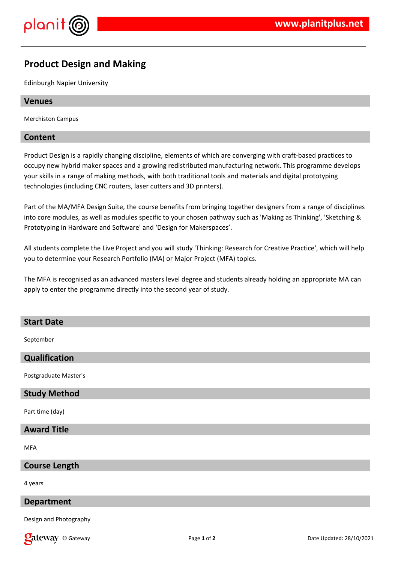

# **Product Design and Making**

Edinburgh Napier University

#### **Venues**

Merchiston Campus

#### **Content**

Product Design is a rapidly changing discipline, elements of which are converging with craft-based practices to occupy new hybrid maker spaces and a growing redistributed manufacturing network. This programme develops your skills in a range of making methods, with both traditional tools and materials and digital prototyping technologies (including CNC routers, laser cutters and 3D printers).

Part of the MA/MFA Design Suite, the course benefits from bringing together designers from a range of disciplines into core modules, as well as modules specific to your chosen pathway such as 'Making as Thinking', 'Sketching & Prototyping in Hardware and Software' and 'Design for Makerspaces'.

All students complete the Live Project and you will study 'Thinking: Research for Creative Practice', which will help you to determine your Research Portfolio (MA) or Major Project (MFA) topics.

The MFA is recognised as an advanced masters level degree and students already holding an appropriate MA can apply to enter the programme directly into the second year of study.

#### **Start Date**

September

### **Qualification**

Postgraduate Master's

#### **Study Method**

Part time (day)

# **Award Title**

**MFA** 

#### **Course Length**

4 years

#### **Department**

Design and Photography

**Call EXECURI** CONSIDER THE PAGE 1 of 2 Date Updated: 28/10/2021